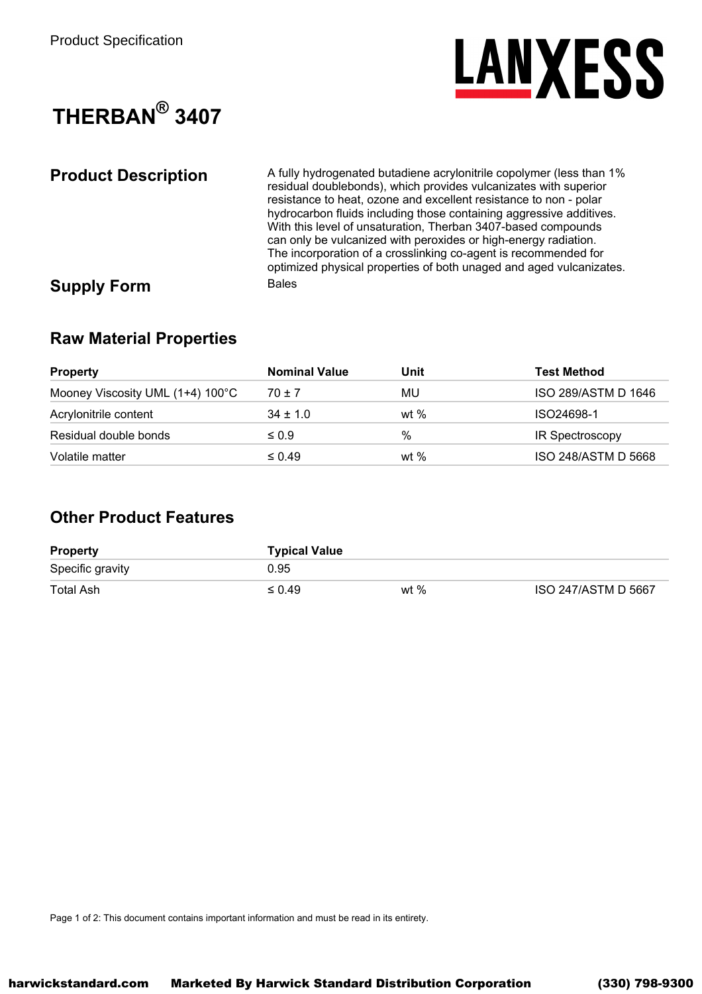

## THERBAN<sup>®</sup> 3407

**Product Description** A fully hydrogenated butadiene acrylonitrile copolymer (less than 1% residual doublebonds), which provides vulcanizates with superior resistance to heat, ozone and excellent resistance to non - polar hydrocarbon fluids including those containing aggressive additives. With this level of unsaturation, Therban 3407-based compounds can only be vulcanized with peroxides or high-energy radiation. The incorporation of a crosslinking co-agent is recommended for optimized physical properties of both unaged and aged vulcanizates. **Bales Supply Form** 

### **Raw Material Properties**

| <b>Property</b>                  | <b>Nominal Value</b> | Unit   | <b>Test Method</b>  |
|----------------------------------|----------------------|--------|---------------------|
| Mooney Viscosity UML (1+4) 100°C | $70 \pm 7$           | MU     | ISO 289/ASTM D 1646 |
| Acrylonitrile content            | $34 \pm 1.0$         | wt $%$ | ISO24698-1          |
| Residual double bonds            | $\leq 0.9$           | %      | IR Spectroscopy     |
| Volatile matter                  | $\leq 0.49$          | wt $%$ | ISO 248/ASTM D 5668 |

## **Other Product Features**

| <b>Property</b>  | <b>Typical Value</b> |      |                     |
|------------------|----------------------|------|---------------------|
| Specific gravity | 0.95                 |      |                     |
| Total Ash        | $\leq 0.49$          | wt % | ISO 247/ASTM D 5667 |

Page 1 of 2: This document contains important information and must be read in its entirety.